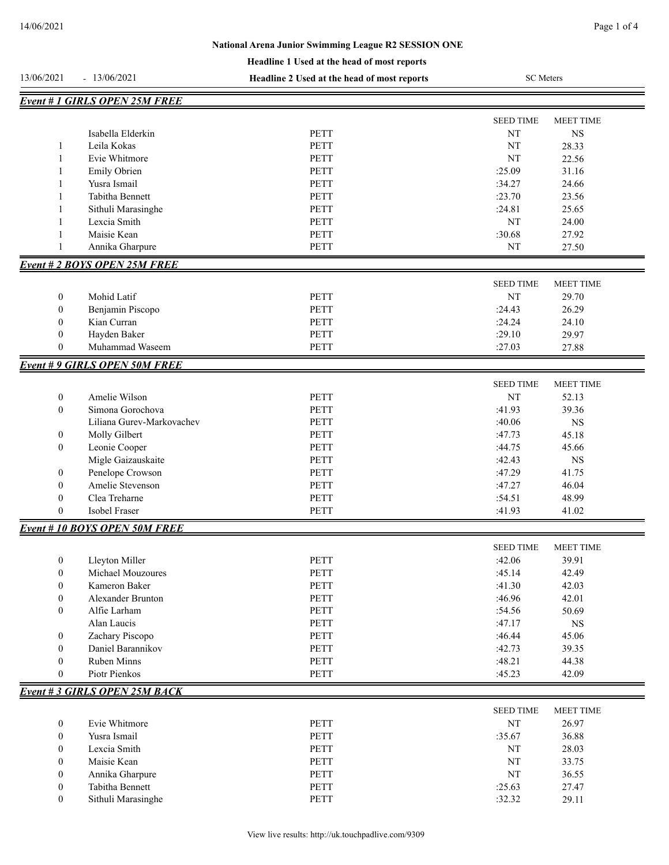|                  |                                      | Headline 1 Used at the head of most reports |                  |                  |
|------------------|--------------------------------------|---------------------------------------------|------------------|------------------|
| 13/06/2021       | $-13/06/2021$                        | Headline 2 Used at the head of most reports | <b>SC</b> Meters |                  |
|                  | <b>Event # 1 GIRLS OPEN 25M FREE</b> |                                             |                  |                  |
|                  |                                      |                                             | <b>SEED TIME</b> | <b>MEET TIME</b> |
|                  | Isabella Elderkin                    | <b>PETT</b>                                 | NT               | <b>NS</b>        |
| $\mathbf{1}$     | Leila Kokas                          | <b>PETT</b>                                 | NT               | 28.33            |
| 1                | Evie Whitmore                        | <b>PETT</b>                                 | NT               | 22.56            |
| 1                | Emily Obrien                         | <b>PETT</b>                                 | :25.09           | 31.16            |
| -1               | Yusra Ismail                         | <b>PETT</b>                                 | :34.27           | 24.66            |
| -1               | Tabitha Bennett                      | <b>PETT</b>                                 | :23.70           | 23.56            |
| 1                | Sithuli Marasinghe                   | <b>PETT</b>                                 | :24.81           | 25.65            |
| $\mathbf{1}$     | Lexcia Smith                         | <b>PETT</b>                                 | NT               | 24.00            |
| $\mathbf{1}$     | Maisie Kean                          | <b>PETT</b>                                 | :30.68           | 27.92            |
| $\mathbf{1}$     | Annika Gharpure                      | PETT                                        | NT               | 27.50            |
|                  | <b>Event # 2 BOYS OPEN 25M FREE</b>  |                                             |                  |                  |
|                  |                                      |                                             | <b>SEED TIME</b> | <b>MEET TIME</b> |
| $\boldsymbol{0}$ | Mohid Latif                          | <b>PETT</b>                                 | NT               | 29.70            |
| $\mathbf{0}$     | Benjamin Piscopo                     | <b>PETT</b>                                 | :24.43           | 26.29            |
| $\mathbf{0}$     | Kian Curran                          | <b>PETT</b>                                 | :24.24           | 24.10            |
| $\mathbf{0}$     | Hayden Baker                         | <b>PETT</b>                                 | :29.10           | 29.97            |
| $\mathbf{0}$     | Muhammad Waseem                      | PETT                                        | :27.03           | 27.88            |
|                  | <b>Event #9 GIRLS OPEN 50M FREE</b>  |                                             |                  |                  |
|                  |                                      |                                             | <b>SEED TIME</b> | <b>MEET TIME</b> |
| $\boldsymbol{0}$ | Amelie Wilson                        | <b>PETT</b>                                 | NT               | 52.13            |
| $\mathbf{0}$     | Simona Gorochova                     | <b>PETT</b>                                 | :41.93           | 39.36            |
|                  | Liliana Gurev-Markovachev            | <b>PETT</b>                                 | :40.06           | <b>NS</b>        |
| $\boldsymbol{0}$ | Molly Gilbert                        | <b>PETT</b>                                 | :47.73           | 45.18            |
| $\mathbf{0}$     | Leonie Cooper                        | <b>PETT</b>                                 | :44.75           | 45.66            |
|                  | Migle Gaizauskaite                   | <b>PETT</b>                                 | :42.43           | <b>NS</b>        |
| $\boldsymbol{0}$ | Penelope Crowson                     | <b>PETT</b>                                 | :47.29           | 41.75            |
| $\boldsymbol{0}$ | Amelie Stevenson                     | <b>PETT</b>                                 | :47.27           | 46.04            |
| $\boldsymbol{0}$ | Clea Treharne                        | PETT                                        | :54.51           | 48.99            |
| $\boldsymbol{0}$ | Isobel Fraser                        | <b>PETT</b>                                 | :41.93           | 41.02            |
|                  | <b>Event # 10 BOYS OPEN 50M FREE</b> |                                             |                  |                  |
|                  |                                      |                                             | <b>SEED TIME</b> | <b>MEET TIME</b> |
| $\boldsymbol{0}$ | Lleyton Miller                       | PETT                                        | :42.06           | 39.91            |
| $\boldsymbol{0}$ | Michael Mouzoures                    | PETT                                        | :45.14           | 42.49            |
| $\boldsymbol{0}$ | Kameron Baker                        | <b>PETT</b>                                 | :41.30           | 42.03            |
| $\boldsymbol{0}$ | Alexander Brunton                    | PETT                                        | :46.96           | 42.01            |
| $\boldsymbol{0}$ | Alfie Larham                         | PETT                                        | :54.56           | 50.69            |
|                  | Alan Laucis                          | PETT                                        | :47.17           | <b>NS</b>        |
| $\boldsymbol{0}$ | Zachary Piscopo                      | PETT                                        | :46.44           | 45.06            |
| $\boldsymbol{0}$ | Daniel Barannikov                    | PETT                                        | :42.73           | 39.35            |
| $\boldsymbol{0}$ | Ruben Minns                          | PETT                                        | :48.21           | 44.38            |
| $\boldsymbol{0}$ | Piotr Pienkos                        | PETT                                        | :45.23           | 42.09            |
|                  | <b>Event #3 GIRLS OPEN 25M BACK</b>  |                                             |                  |                  |
|                  |                                      |                                             | <b>SEED TIME</b> | MEET TIME        |
| $\boldsymbol{0}$ | Evie Whitmore                        | PETT                                        | NT               | 26.97            |
| $\boldsymbol{0}$ | Yusra Ismail                         | PETT                                        | :35.67           | 36.88            |
| $\boldsymbol{0}$ | Lexcia Smith                         | PETT                                        | NT               | 28.03            |
| $\boldsymbol{0}$ | Maisie Kean                          | PETT                                        | NT               | 33.75            |

| Tabitha Bennett    | <b>PETT</b> | $\sim$ $\sim$<br>$\epsilon$<br>:25.63 | .47   |
|--------------------|-------------|---------------------------------------|-------|
| Sithuli Marasinghe | <b>PETT</b> | ے رہے ۔                               | 29.11 |

0 Annika Gharpure PETT NT 36.55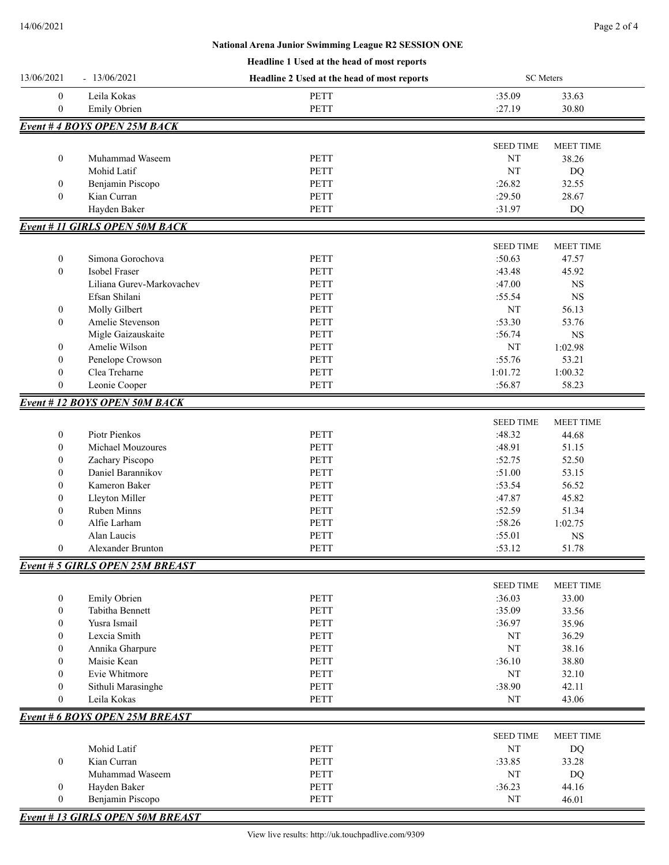## **Headline 1 Used at the head of most reports National Arena Junior Swimming League R2 SESSION ONE**

| 13/06/2021       | $-13/06/2021$                          | Headline 2 Used at the head of most reports | <b>SC</b> Meters |                  |
|------------------|----------------------------------------|---------------------------------------------|------------------|------------------|
| $\boldsymbol{0}$ | Leila Kokas                            | PETT                                        | :35.09           | 33.63            |
| $\boldsymbol{0}$ | Emily Obrien                           | PETT                                        | :27.19           | 30.80            |
|                  | <b>Event #4 BOYS OPEN 25M BACK</b>     |                                             |                  |                  |
|                  |                                        |                                             |                  |                  |
|                  |                                        |                                             | <b>SEED TIME</b> | <b>MEET TIME</b> |
| $\boldsymbol{0}$ | Muhammad Waseem                        | <b>PETT</b>                                 | NT               | 38.26            |
|                  | Mohid Latif                            | <b>PETT</b>                                 | NT               | DQ               |
| 0                | Benjamin Piscopo                       | <b>PETT</b>                                 | :26.82           | 32.55            |
| $\mathbf{0}$     | Kian Curran                            | <b>PETT</b>                                 | :29.50           | 28.67            |
|                  | Hayden Baker                           | PETT                                        | :31.97           | DQ               |
|                  | <b>Event # 11 GIRLS OPEN 50M BACK</b>  |                                             |                  |                  |
|                  |                                        |                                             | <b>SEED TIME</b> | <b>MEET TIME</b> |
| 0                | Simona Gorochova                       | PETT                                        | :50.63           | 47.57            |
| $\boldsymbol{0}$ | Isobel Fraser                          | <b>PETT</b>                                 | :43.48           | 45.92            |
|                  | Liliana Gurev-Markovachev              | PETT                                        | :47.00           | $_{\rm NS}$      |
|                  | Efsan Shilani                          | PETT                                        | :55.54           | $_{\rm NS}$      |
| 0                | Molly Gilbert                          | <b>PETT</b>                                 | NT               | 56.13            |
| $\boldsymbol{0}$ | Amelie Stevenson                       | <b>PETT</b>                                 | :53.30           | 53.76            |
|                  | Migle Gaizauskaite                     | <b>PETT</b>                                 | :56.74           | <b>NS</b>        |
| 0                | Amelie Wilson                          | <b>PETT</b>                                 | NT               | 1:02.98          |
| $\boldsymbol{0}$ | Penelope Crowson                       | PETT                                        | :55.76           | 53.21            |
| $\mathbf{0}$     | Clea Treharne                          | <b>PETT</b>                                 | 1:01.72          | 1:00.32          |
| $\overline{0}$   | Leonie Cooper                          | PETT                                        | :56.87           | 58.23            |
|                  | <b>Event #12 BOYS OPEN 50M BACK</b>    |                                             |                  |                  |
|                  |                                        |                                             |                  |                  |
|                  |                                        |                                             | <b>SEED TIME</b> | <b>MEET TIME</b> |
| 0                | Piotr Pienkos                          | PETT                                        | :48.32           | 44.68            |
| 0                | Michael Mouzoures                      | <b>PETT</b>                                 | :48.91           | 51.15            |
| 0                | Zachary Piscopo                        | <b>PETT</b>                                 | :52.75           | 52.50            |
| $\boldsymbol{0}$ | Daniel Barannikov                      | <b>PETT</b>                                 | :51.00           | 53.15            |
| $\boldsymbol{0}$ | Kameron Baker                          | <b>PETT</b>                                 | :53.54           | 56.52            |
| $\boldsymbol{0}$ | Lleyton Miller                         | PETT                                        | :47.87           | 45.82            |
| $\boldsymbol{0}$ | Ruben Minns                            | PETT                                        | :52.59           | 51.34            |
| $\mathbf{0}$     | Alfie Larham                           | PETT                                        | :58.26           | 1:02.75          |
|                  | Alan Laucis                            | PETT                                        | :55.01           | $_{\rm NS}$      |
| $\boldsymbol{0}$ | Alexander Brunton                      | PETT                                        | :53.12           | 51.78            |
|                  | <b>Event # 5 GIRLS OPEN 25M BREAST</b> |                                             |                  |                  |
|                  |                                        |                                             | <b>SEED TIME</b> | MEET TIME        |
| 0                | Emily Obrien                           | PETT                                        | :36.03           | 33.00            |
| $\boldsymbol{0}$ | Tabitha Bennett                        | <b>PETT</b>                                 | :35.09           | 33.56            |
| $\boldsymbol{0}$ | Yusra Ismail                           | PETT                                        | :36.97           | 35.96            |
| 0                | Lexcia Smith                           | PETT                                        | $\rm{NT}$        | 36.29            |
| $\boldsymbol{0}$ | Annika Gharpure                        | PETT                                        | NT               | 38.16            |
| $\mathbf{0}$     | Maisie Kean                            | PETT                                        | :36.10           | 38.80            |
| $\overline{0}$   | Evie Whitmore                          | PETT                                        | $\rm{NT}$        | 32.10            |
| $\overline{0}$   | Sithuli Marasinghe                     | PETT                                        | :38.90           | 42.11            |
| $\boldsymbol{0}$ | Leila Kokas                            | PETT                                        | $\rm{NT}$        | 43.06            |
|                  | <b>Event # 6 BOYS OPEN 25M BREAST</b>  |                                             |                  |                  |
|                  |                                        |                                             |                  |                  |
|                  |                                        |                                             | <b>SEED TIME</b> | MEET TIME        |
|                  | Mohid Latif                            | PETT                                        | NT               | DQ               |
| $\boldsymbol{0}$ | Kian Curran                            | PETT                                        | :33.85           | 33.28            |
|                  | Muhammad Waseem                        | PETT                                        | $\rm{NT}$        | DQ               |
| 0                | Hayden Baker                           | PETT                                        | :36.23           | 44.16            |
| $\boldsymbol{0}$ | Benjamin Piscopo                       | PETT                                        | NT               | 46.01            |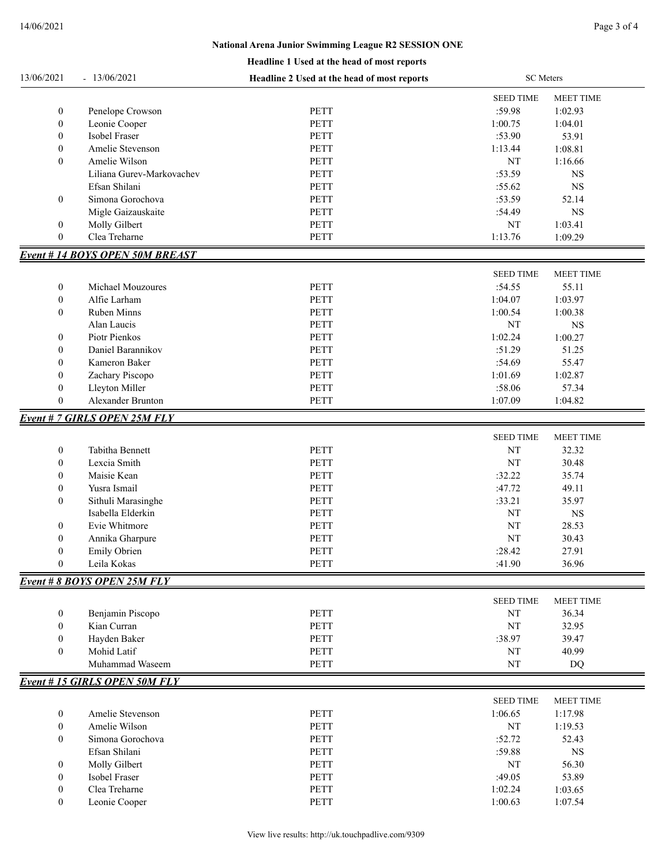## **National Arena Junior Swimming League R2 SESSION ONE**

|  | Headline 1 Used at the head of most reports |
|--|---------------------------------------------|
|  |                                             |

| 13/06/2021       | $-13/06/2021$                         | Headline 2 Used at the head of most reports | <b>SC</b> Meters |                  |
|------------------|---------------------------------------|---------------------------------------------|------------------|------------------|
|                  |                                       |                                             | <b>SEED TIME</b> | <b>MEET TIME</b> |
| $\boldsymbol{0}$ | Penelope Crowson                      | <b>PETT</b>                                 | :59.98           | 1:02.93          |
| $\boldsymbol{0}$ | Leonie Cooper                         | <b>PETT</b>                                 | 1:00.75          | 1:04.01          |
| $\boldsymbol{0}$ | Isobel Fraser                         | <b>PETT</b>                                 | :53.90           | 53.91            |
| $\boldsymbol{0}$ | Amelie Stevenson                      | <b>PETT</b>                                 | 1:13.44          | 1:08.81          |
| $\boldsymbol{0}$ | Amelie Wilson                         | <b>PETT</b>                                 | NT               | 1:16.66          |
|                  | Liliana Gurev-Markovachev             | <b>PETT</b>                                 | :53.59           | <b>NS</b>        |
|                  | Efsan Shilani                         | PETT                                        | :55.62           | $_{\rm NS}$      |
| $\boldsymbol{0}$ | Simona Gorochova                      | PETT                                        | :53.59           | 52.14            |
|                  | Migle Gaizauskaite                    | <b>PETT</b>                                 | :54.49           | $_{\rm NS}$      |
| $\boldsymbol{0}$ | Molly Gilbert                         | <b>PETT</b>                                 | NT               | 1:03.41          |
| $\mathbf{0}$     | Clea Treharne                         | <b>PETT</b>                                 | 1:13.76          | 1:09.29          |
|                  |                                       |                                             |                  |                  |
|                  | <b>Event #14 BOYS OPEN 50M BREAST</b> |                                             |                  |                  |
|                  |                                       |                                             | <b>SEED TIME</b> | MEET TIME        |
| $\boldsymbol{0}$ | Michael Mouzoures                     | PETT                                        | :54.55           | 55.11            |
| $\boldsymbol{0}$ | Alfie Larham                          | <b>PETT</b>                                 | 1:04.07          | 1:03.97          |
| $\boldsymbol{0}$ | <b>Ruben Minns</b>                    | <b>PETT</b>                                 | 1:00.54          | 1:00.38          |
|                  | Alan Laucis                           | <b>PETT</b>                                 | NT               | $_{\rm NS}$      |
| $\boldsymbol{0}$ | Piotr Pienkos                         | PETT                                        | 1:02.24          | 1:00.27          |
| $\boldsymbol{0}$ | Daniel Barannikov                     | PETT                                        | :51.29           | 51.25            |
| $\boldsymbol{0}$ | Kameron Baker                         | PETT                                        | :54.69           | 55.47            |
| 0                | Zachary Piscopo                       | <b>PETT</b>                                 | 1:01.69          | 1:02.87          |
| $\boldsymbol{0}$ | Lleyton Miller                        | PETT                                        | :58.06           | 57.34            |
| $\boldsymbol{0}$ | Alexander Brunton                     | PETT                                        | 1:07.09          | 1:04.82          |
|                  | <b>Event # 7 GIRLS OPEN 25M FLY</b>   |                                             |                  |                  |
|                  |                                       |                                             | <b>SEED TIME</b> | <b>MEET TIME</b> |
| $\boldsymbol{0}$ | Tabitha Bennett                       | PETT                                        | NT               | 32.32            |
| $\boldsymbol{0}$ | Lexcia Smith                          | <b>PETT</b>                                 | NT               | 30.48            |
| $\boldsymbol{0}$ | Maisie Kean                           | <b>PETT</b>                                 | :32.22           | 35.74            |
| $\boldsymbol{0}$ | Yusra Ismail                          | <b>PETT</b>                                 | :47.72           | 49.11            |
| $\boldsymbol{0}$ | Sithuli Marasinghe                    | PETT                                        | :33.21           | 35.97            |
|                  | Isabella Elderkin                     | <b>PETT</b>                                 | NT               | $_{\rm NS}$      |
| 0                | Evie Whitmore                         | <b>PETT</b>                                 | NT               | 28.53            |
| $\boldsymbol{0}$ | Annika Gharpure                       | <b>PETT</b>                                 | NT               | 30.43            |
| $\boldsymbol{0}$ | Emily Obrien                          | PETT                                        | :28.42           | 27.91            |
| $\boldsymbol{0}$ | Leila Kokas                           | PETT                                        | :41.90           | 36.96            |
|                  | Event # 8 BOYS OPEN 25M FLY           |                                             |                  |                  |
|                  |                                       |                                             |                  |                  |
|                  |                                       |                                             | <b>SEED TIME</b> | MEET TIME        |
| $\boldsymbol{0}$ | Benjamin Piscopo                      | PETT                                        | NT               | 36.34            |
| $\mathbf{0}$     | Kian Curran                           | PETT                                        | NT               | 32.95            |
| $\overline{0}$   | Hayden Baker                          | PETT                                        | :38.97           | 39.47            |
| $\mathbf{0}$     | Mohid Latif                           | PETT                                        | NT               | 40.99            |
|                  | Muhammad Waseem                       | PETT                                        | NT               | DQ               |
|                  | <b>Event #15 GIRLS OPEN 50M FLY</b>   |                                             |                  |                  |
|                  |                                       |                                             | <b>SEED TIME</b> | <b>MEET TIME</b> |
| $\boldsymbol{0}$ | Amelie Stevenson                      | <b>PETT</b>                                 | 1:06.65          | 1:17.98          |
| $\boldsymbol{0}$ | Amelie Wilson                         | PETT                                        | NT               | 1:19.53          |
| $\overline{0}$   | Simona Gorochova                      | <b>PETT</b>                                 | :52.72           | 52.43            |
|                  | Efsan Shilani                         | PETT                                        | :59.88           | $_{\rm NS}$      |
| 0                | Molly Gilbert                         | PETT                                        | NT               | 56.30            |
| $\boldsymbol{0}$ | Isobel Fraser                         | PETT                                        | :49.05           | 53.89            |
| $\boldsymbol{0}$ | Clea Treharne                         | PETT                                        | 1:02.24          | 1:03.65          |
| 0                | Leonie Cooper                         | PETT                                        | 1:00.63          | 1:07.54          |
|                  |                                       |                                             |                  |                  |